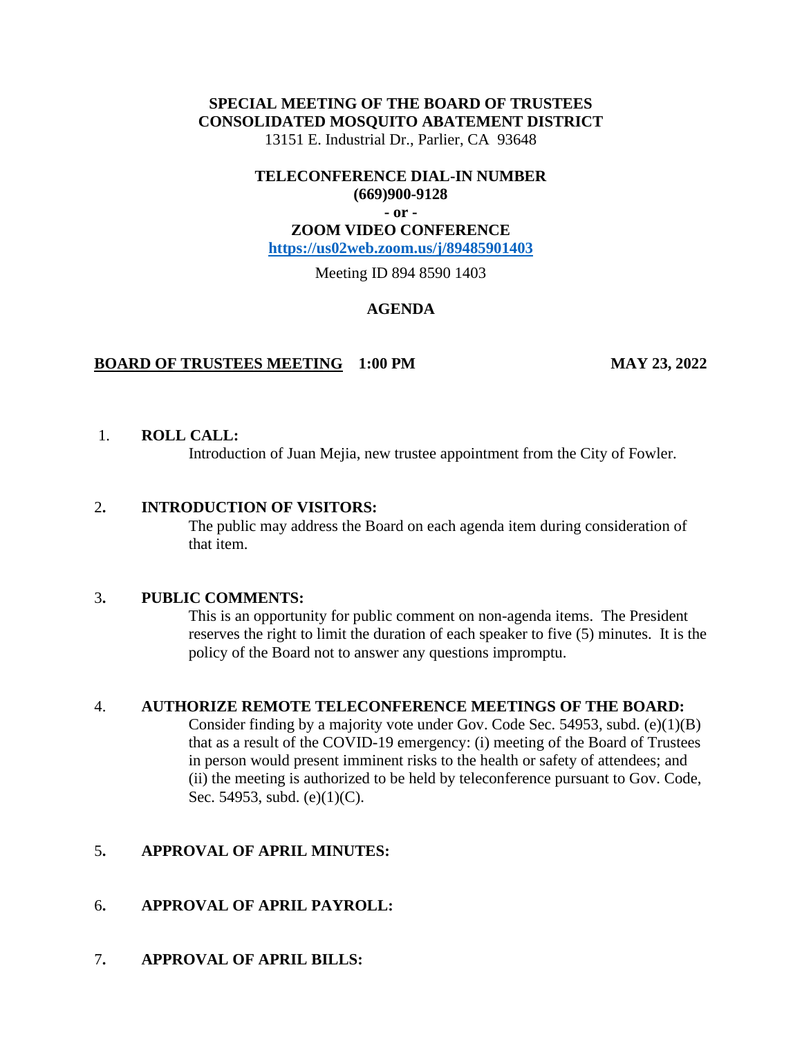## **SPECIAL MEETING OF THE BOARD OF TRUSTEES CONSOLIDATED MOSQUITO ABATEMENT DISTRICT**

13151 E. Industrial Dr., Parlier, CA 93648

### **TELECONFERENCE DIAL-IN NUMBER (669)900-9128**

# **- or -**

## **ZOOM VIDEO CONFERENCE**

**<https://us02web.zoom.us/j/89485901403>**

Meeting ID 894 8590 1403

## **AGENDA**

### **BOARD OF TRUSTEES MEETING 1:00 PM MAY 23, 2022**

## 1. **ROLL CALL:**

Introduction of Juan Mejia, new trustee appointment from the City of Fowler.

### 2**. INTRODUCTION OF VISITORS:**

The public may address the Board on each agenda item during consideration of that item.

### 3**. PUBLIC COMMENTS:**

This is an opportunity for public comment on non-agenda items. The President reserves the right to limit the duration of each speaker to five (5) minutes. It is the policy of the Board not to answer any questions impromptu.

### 4. **AUTHORIZE REMOTE TELECONFERENCE MEETINGS OF THE BOARD:**

Consider finding by a majority vote under Gov. Code Sec. 54953, subd. (e)(1)(B) that as a result of the COVID-19 emergency: (i) meeting of the Board of Trustees in person would present imminent risks to the health or safety of attendees; and (ii) the meeting is authorized to be held by teleconference pursuant to Gov. Code, Sec. 54953, subd. (e)(1)(C).

## 5**. APPROVAL OF APRIL MINUTES:**

## 6**. APPROVAL OF APRIL PAYROLL:**

7**. APPROVAL OF APRIL BILLS:**